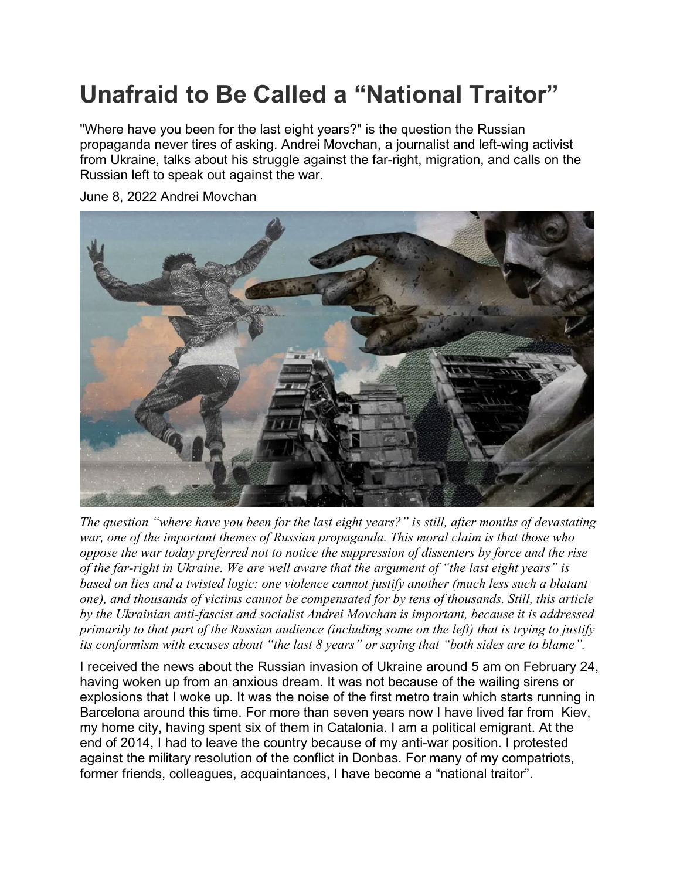## **Unafraid to Be Called a "National Traitor"**

"Where have you been for the last eight years?" is the question the Russian propaganda never tires of asking. Andrei Movchan, a journalist and left-wing activist from Ukraine, talks about his struggle against the far-right, migration, and calls on the Russian left to speak out against the war.

June 8, 2022 Andrei Movchan

*The question "where have you been for the last eight years?" is still, after months of devastating war, one of the important themes of Russian propaganda. This moral claim is that those who oppose the war today preferred not to notice the suppression of dissenters by force and the rise of the far-right in Ukraine. We are well aware that the argument of "the last eight years" is based on lies and a twisted logic: one violence cannot justify another (much less such a blatant one), and thousands of victims cannot be compensated for by tens of thousands. Still, this article by the Ukrainian anti-fascist and socialist Andrei Movchan is important, because it is addressed primarily to that part of the Russian audience (including some on the left) that is trying to justify its conformism with excuses about "the last 8 years" or saying that "both sides are to blame".*

I received the news about the Russian invasion of Ukraine around 5 am on February 24, having woken up from an anxious dream. It was not because of the wailing sirens or explosions that I woke up. It was the noise of the first metro train which starts running in Barcelona around this time. For more than seven years now I have lived far from Kiev, my home city, having spent six of them in Catalonia. I am a political emigrant. At the end of 2014, I had to leave the country because of my anti-war position. I protested against the military resolution of the conflict in Donbas. For many of my compatriots, former friends, colleagues, acquaintances, I have become a "national traitor".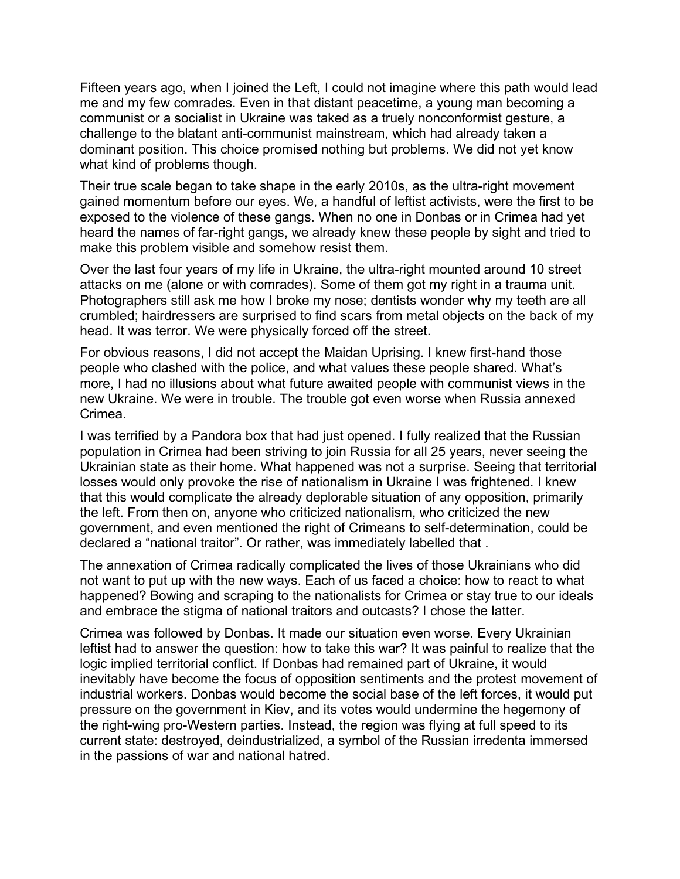Fifteen years ago, when I joined the Left, I could not imagine where this path would lead me and my few comrades. Even in that distant peacetime, a young man becoming a communist or a socialist in Ukraine was taked as a truely nonconformist gesture, a challenge to the blatant anti-communist mainstream, which had already taken a dominant position. This choice promised nothing but problems. We did not yet know what kind of problems though.

Their true scale began to take shape in the early 2010s, as the ultra-right movement gained momentum before our eyes. We, a handful of leftist activists, were the first to be exposed to the violence of these gangs. When no one in Donbas or in Crimea had yet heard the names of far-right gangs, we already knew these people by sight and tried to make this problem visible and somehow resist them.

Over the last four years of my life in Ukraine, the ultra-right mounted around 10 street attacks on me (alone or with comrades). Some of them got my right in a trauma unit. Photographers still ask me how I broke my nose; dentists wonder why my teeth are all crumbled; hairdressers are surprised to find scars from metal objects on the back of my head. It was terror. We were physically forced off the street.

For obvious reasons, I did not accept the Maidan Uprising. I knew first-hand those people who clashed with the police, and what values these people shared. What's more, I had no illusions about what future awaited people with communist views in the new Ukraine. We were in trouble. The trouble got even worse when Russia annexed Crimea.

I was terrified by a Pandora box that had just opened. I fully realized that the Russian population in Crimea had been striving to join Russia for all 25 years, never seeing the Ukrainian state as their home. What happened was not a surprise. Seeing that territorial losses would only provoke the rise of nationalism in Ukraine I was frightened. I knew that this would complicate the already deplorable situation of any opposition, primarily the left. From then on, anyone who criticized nationalism, who criticized the new government, and even mentioned the right of Crimeans to self-determination, could be declared a "national traitor". Or rather, was immediately labelled that .

The annexation of Crimea radically complicated the lives of those Ukrainians who did not want to put up with the new ways. Each of us faced a choice: how to react to what happened? Bowing and scraping to the nationalists for Crimea or stay true to our ideals and embrace the stigma of national traitors and outcasts? I chose the latter.

Crimea was followed by Donbas. It made our situation even worse. Every Ukrainian leftist had to answer the question: how to take this war? It was painful to realize that the logic implied territorial conflict. If Donbas had remained part of Ukraine, it would inevitably have become the focus of opposition sentiments and the protest movement of industrial workers. Donbas would become the social base of the left forces, it would put pressure on the government in Kiev, and its votes would undermine the hegemony of the right-wing pro-Western parties. Instead, the region was flying at full speed to its current state: destroyed, deindustrialized, a symbol of the Russian irredenta immersed in the passions of war and national hatred.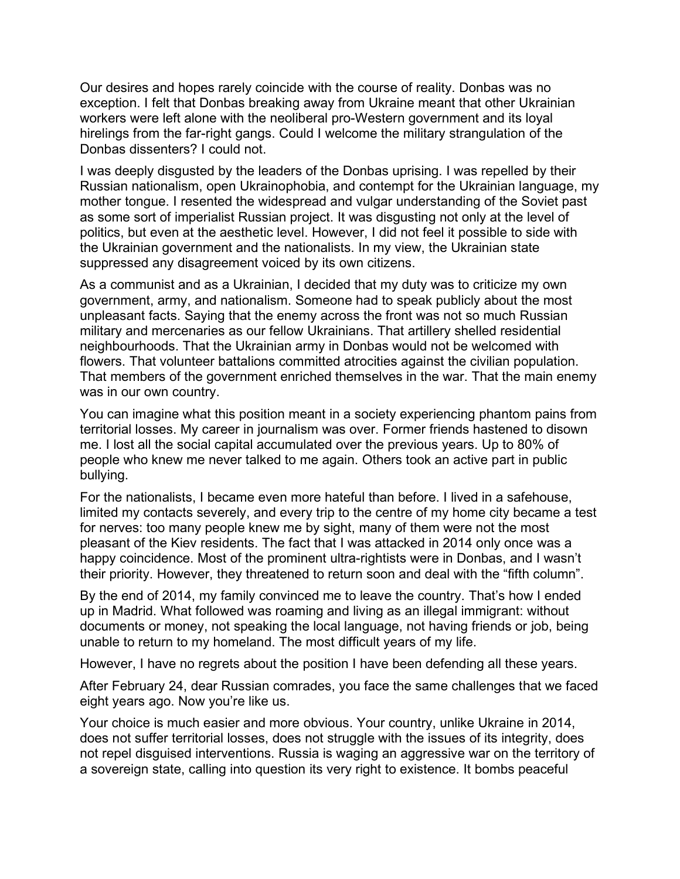Our desires and hopes rarely coincide with the course of reality. Donbas was no exception. I felt that Donbas breaking away from Ukraine meant that other Ukrainian workers were left alone with the neoliberal pro-Western government and its loyal hirelings from the far-right gangs. Could I welcome the military strangulation of the Donbas dissenters? I could not.

I was deeply disgusted by the leaders of the Donbas uprising. I was repelled by their Russian nationalism, open Ukrainophobia, and contempt for the Ukrainian language, my mother tongue. I resented the widespread and vulgar understanding of the Soviet past as some sort of imperialist Russian project. It was disgusting not only at the level of politics, but even at the aesthetic level. However, I did not feel it possible to side with the Ukrainian government and the nationalists. In my view, the Ukrainian state suppressed any disagreement voiced by its own citizens.

As a communist and as a Ukrainian, I decided that my duty was to criticize my own government, army, and nationalism. Someone had to speak publicly about the most unpleasant facts. Saying that the enemy across the front was not so much Russian military and mercenaries as our fellow Ukrainians. That artillery shelled residential neighbourhoods. That the Ukrainian army in Donbas would not be welcomed with flowers. That volunteer battalions committed atrocities against the civilian population. That members of the government enriched themselves in the war. That the main enemy was in our own country.

You can imagine what this position meant in a society experiencing phantom pains from territorial losses. My career in journalism was over. Former friends hastened to disown me. I lost all the social capital accumulated over the previous years. Up to 80% of people who knew me never talked to me again. Others took an active part in public bullying.

For the nationalists, I became even more hateful than before. I lived in a safehouse, limited my contacts severely, and every trip to the centre of my home city became a test for nerves: too many people knew me by sight, many of them were not the most pleasant of the Kiev residents. The fact that I was attacked in 2014 only once was a happy coincidence. Most of the prominent ultra-rightists were in Donbas, and I wasn't their priority. However, they threatened to return soon and deal with the "fifth column".

By the end of 2014, my family convinced me to leave the country. That's how I ended up in Madrid. What followed was roaming and living as an illegal immigrant: without documents or money, not speaking the local language, not having friends or job, being unable to return to my homeland. The most difficult years of my life.

However, I have no regrets about the position I have been defending all these years.

After February 24, dear Russian comrades, you face the same challenges that we faced eight years ago. Now you're like us.

Your choice is much easier and more obvious. Your country, unlike Ukraine in 2014, does not suffer territorial losses, does not struggle with the issues of its integrity, does not repel disguised interventions. Russia is waging an aggressive war on the territory of a sovereign state, calling into question its very right to existence. It bombs peaceful